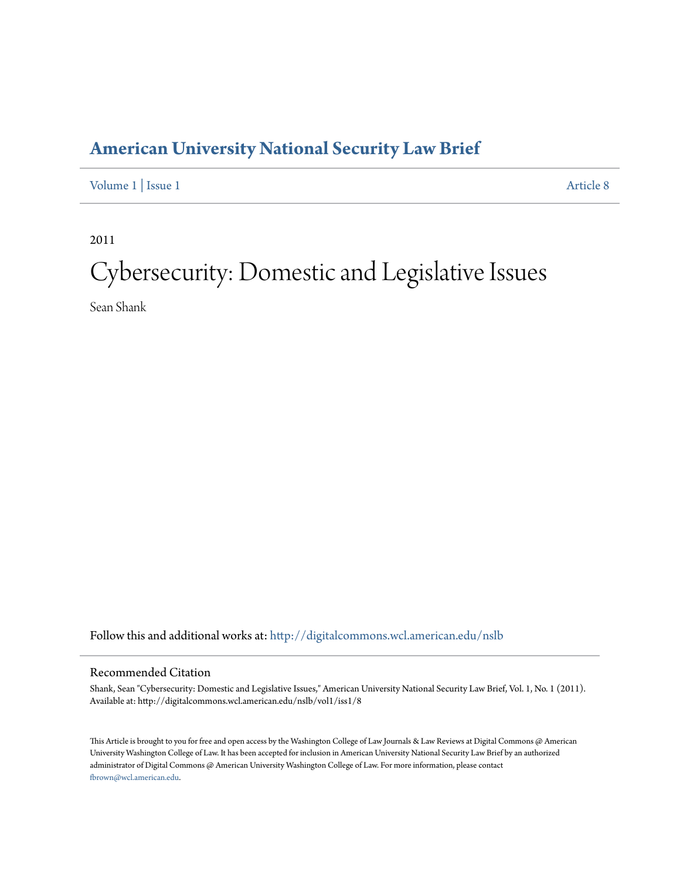### **[American University National Security Law Brief](http://digitalcommons.wcl.american.edu/nslb?utm_source=digitalcommons.wcl.american.edu%2Fnslb%2Fvol1%2Fiss1%2F8&utm_medium=PDF&utm_campaign=PDFCoverPages)**

[Volume 1](http://digitalcommons.wcl.american.edu/nslb/vol1?utm_source=digitalcommons.wcl.american.edu%2Fnslb%2Fvol1%2Fiss1%2F8&utm_medium=PDF&utm_campaign=PDFCoverPages) | [Issue 1](http://digitalcommons.wcl.american.edu/nslb/vol1/iss1?utm_source=digitalcommons.wcl.american.edu%2Fnslb%2Fvol1%2Fiss1%2F8&utm_medium=PDF&utm_campaign=PDFCoverPages) [Article 8](http://digitalcommons.wcl.american.edu/nslb/vol1/iss1/8?utm_source=digitalcommons.wcl.american.edu%2Fnslb%2Fvol1%2Fiss1%2F8&utm_medium=PDF&utm_campaign=PDFCoverPages)

2011

# Cybersecurity: Domestic and Legislative Issues

Sean Shank

Follow this and additional works at: [http://digitalcommons.wcl.american.edu/nslb](http://digitalcommons.wcl.american.edu/nslb?utm_source=digitalcommons.wcl.american.edu%2Fnslb%2Fvol1%2Fiss1%2F8&utm_medium=PDF&utm_campaign=PDFCoverPages)

### Recommended Citation

Shank, Sean "Cybersecurity: Domestic and Legislative Issues," American University National Security Law Brief, Vol. 1, No. 1 (2011). Available at: http://digitalcommons.wcl.american.edu/nslb/vol1/iss1/8

This Article is brought to you for free and open access by the Washington College of Law Journals & Law Reviews at Digital Commons @ American University Washington College of Law. It has been accepted for inclusion in American University National Security Law Brief by an authorized administrator of Digital Commons @ American University Washington College of Law. For more information, please contact [fbrown@wcl.american.edu](mailto:fbrown@wcl.american.edu).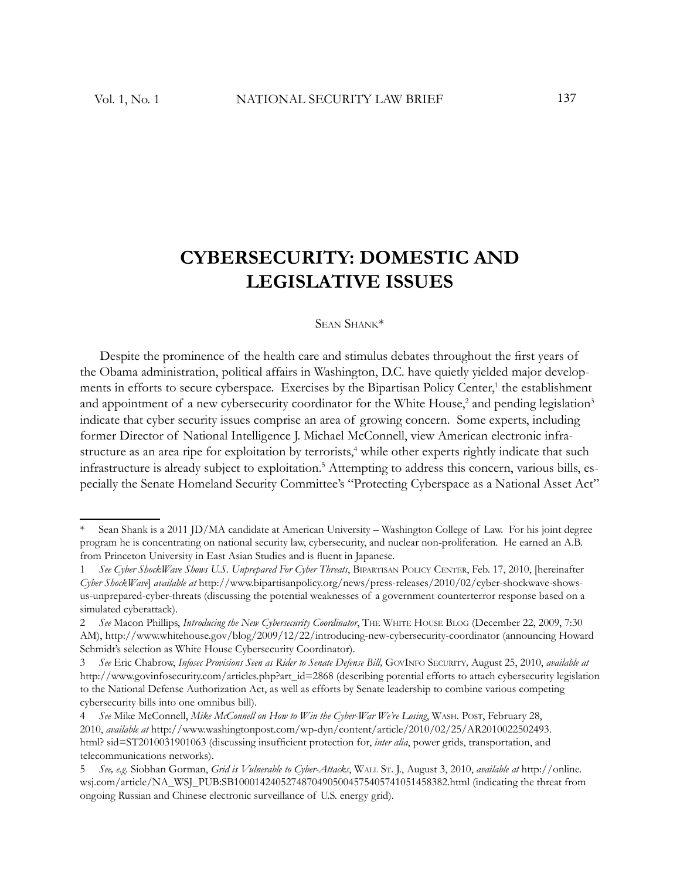## **CYBERSECURITY: DOMESTIC AND LEGISLATIVE ISSUES**

### SEAN SHANK\*

Despite the prominence of the health care and stimulus debates throughout the first years of the Obama administration, political affairs in Washington, D.C. have quietly yielded major developments in efforts to secure cyberspace. Exercises by the Bipartisan Policy Center,<sup>1</sup> the establishment and appointment of a new cybersecurity coordinator for the White House,<sup>2</sup> and pending legislation<sup>3</sup> indicate that cyber security issues comprise an area of growing concern. Some experts, including former Director of National Intelligence J. Michael McConnell, view American electronic infrastructure as an area ripe for exploitation by terrorists,<sup>4</sup> while other experts rightly indicate that such infrastructure is already subject to exploitation.<sup>5</sup> Attempting to address this concern, various bills, especially the Senate Homeland Security Committee's "Protecting Cyberspace as a National Asset Act"

Sean Shank is a 2011 JD/MA candidate at American University – Washington College of Law. For his joint degree program he is concentrating on national security law, cybersecurity, and nuclear non-proliferation. He earned an A.B. from Princeton University in East Asian Studies and is fluent in Japanese.

<sup>1</sup> *See Cyber ShockWave Shows U.S. Unprepared For Cyber Threats*, BIPARTISAN POLICY CENTER, Feb. 17, 2010, [hereinafter *Cyber ShockWave*] *available at* http://www.bipartisanpolicy.org/news/press-releases/2010/02/cyber-shockwave-showsus-unprepared-cyber-threats (discussing the potential weaknesses of a government counterterror response based on a simulated cyberattack).

<sup>2</sup> *See* Macon Phillips, *Introducing the New Cybersecurity Coordinator*, THE WHITE HOUSE BLOG (December 22, 2009, 7:30 AM), http://www.whitehouse.gov/blog/2009/12/22/introducing-new-cybersecurity-coordinator (announcing Howard Schmidt's selection as White House Cybersecurity Coordinator).

<sup>3</sup> *See* Eric Chabrow, *Infosec Provisions Seen as Rider to Senate Defense Bill,* GOVINFO SECURITY*,* August 25, 2010, *available at* http://www.govinfosecurity.com/articles.php?art\_id=2868 (describing potential efforts to attach cybersecurity legislation to the National Defense Authorization Act, as well as efforts by Senate leadership to combine various competing cybersecurity bills into one omnibus bill).

<sup>4</sup> *See* Mike McConnell, *Mike McConnell on How to Win the Cyber-War We're Losing*, WASH. POST, February 28, 2010, *available at* http://www.washingtonpost.com/wp-dyn/content/article/2010/02/25/AR2010022502493. html? sid=ST2010031901063 (discussing insufficient protection for, *inter alia*, power grids, transportation, and telecommunications networks).

<sup>5</sup> *See, e.g.* Siobhan Gorman, *Grid is Vulnerable to Cyber-Attacks*, WALL ST. J., August 3, 2010, *available at* http://online. wsj.com/article/NA\_WSJ\_PUB:SB10001424052748704905004575405741051458382.html (indicating the threat from ongoing Russian and Chinese electronic surveillance of U.S. energy grid).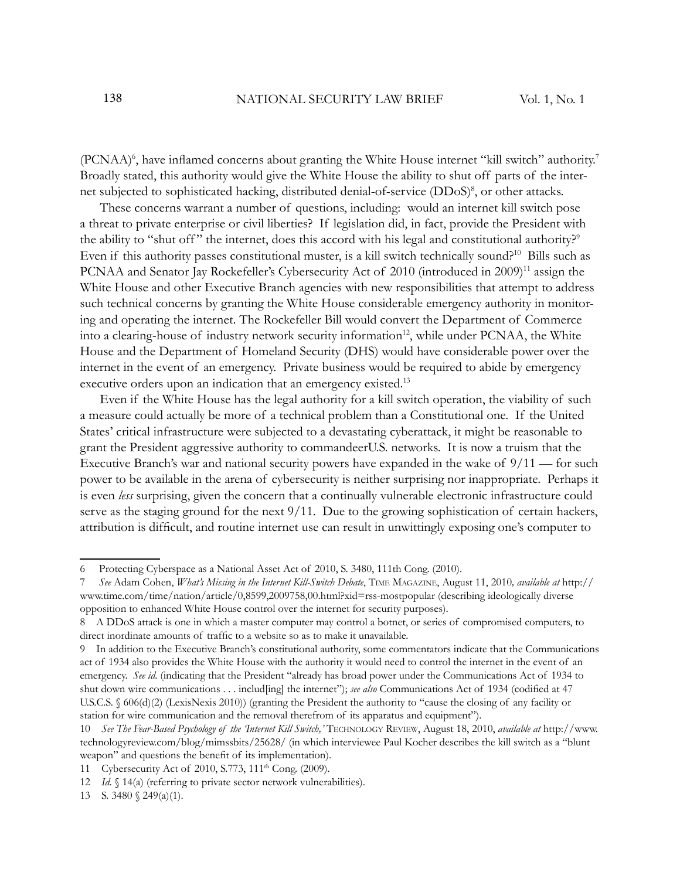(PCNAA)<sup>6</sup>, have inflamed concerns about granting the White House internet "kill switch" authority.<sup>7</sup> Broadly stated, this authority would give the White House the ability to shut off parts of the internet subjected to sophisticated hacking, distributed denial-of-service (DDoS)<sup>8</sup>, or other attacks.

These concerns warrant a number of questions, including: would an internet kill switch pose a threat to private enterprise or civil liberties? If legislation did, in fact, provide the President with the ability to "shut off" the internet, does this accord with his legal and constitutional authority?<sup>9</sup> Even if this authority passes constitutional muster, is a kill switch technically sound?<sup>10</sup> Bills such as PCNAA and Senator Jay Rockefeller's Cybersecurity Act of 2010 (introduced in 2009)<sup>11</sup> assign the White House and other Executive Branch agencies with new responsibilities that attempt to address such technical concerns by granting the White House considerable emergency authority in monitoring and operating the internet. The Rockefeller Bill would convert the Department of Commerce into a clearing-house of industry network security information<sup>12</sup>, while under PCNAA, the White House and the Department of Homeland Security (DHS) would have considerable power over the internet in the event of an emergency. Private business would be required to abide by emergency executive orders upon an indication that an emergency existed.<sup>13</sup>

Even if the White House has the legal authority for a kill switch operation, the viability of such a measure could actually be more of a technical problem than a Constitutional one. If the United States' critical infrastructure were subjected to a devastating cyberattack, it might be reasonable to grant the President aggressive authority to commandeerU.S. networks. It is now a truism that the Executive Branch's war and national security powers have expanded in the wake of 9/11 — for such power to be available in the arena of cybersecurity is neither surprising nor inappropriate. Perhaps it is even *less* surprising, given the concern that a continually vulnerable electronic infrastructure could serve as the staging ground for the next 9/11. Due to the growing sophistication of certain hackers, attribution is difficult, and routine internet use can result in unwittingly exposing one's computer to

<sup>6</sup> Protecting Cyberspace as a National Asset Act of 2010, S. 3480, 111th Cong. (2010).

<sup>7</sup> *See* Adam Cohen, *What's Missing in the Internet Kill-Switch Debate*, TIME MAGAZINE, August 11, 2010*, available at* http:// www.time.com/time/nation/article/0,8599,2009758,00.html?xid=rss-mostpopular (describing ideologically diverse opposition to enhanced White House control over the internet for security purposes).

<sup>8</sup> A DDoS attack is one in which a master computer may control a botnet, or series of compromised computers, to direct inordinate amounts of traffic to a website so as to make it unavailable.

<sup>9</sup> In addition to the Executive Branch's constitutional authority, some commentators indicate that the Communications act of 1934 also provides the White House with the authority it would need to control the internet in the event of an emergency. *See id*. (indicating that the President "already has broad power under the Communications Act of 1934 to shut down wire communications . . . includ[ing] the internet"); see also Communications Act of 1934 (codified at 47 U.S.C.S. § 606(d)(2) (LexisNexis 2010)) (granting the President the authority to "cause the closing of any facility or station for wire communication and the removal therefrom of its apparatus and equipment").

<sup>10</sup> *See The Fear-Based Psychology of the 'Internet Kill Switch,'* TECHNOLOGY REVIEW, August 18, 2010, *available at* http://www. technologyreview.com/blog/mimssbits/25628/ (in which interviewee Paul Kocher describes the kill switch as a "blunt weapon" and questions the benefit of its implementation).

<sup>11</sup> Cybersecurity Act of 2010, S.773, 111th Cong. (2009).

<sup>12</sup> *Id.* § 14(a) (referring to private sector network vulnerabilities).

<sup>13</sup> S. 3480 § 249(a)(1).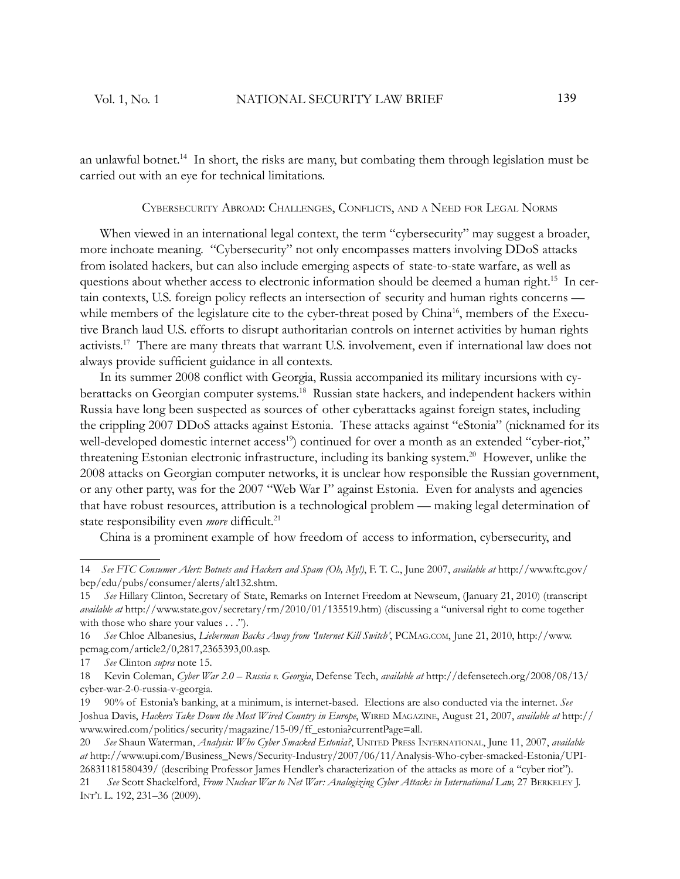an unlawful botnet.<sup>14</sup> In short, the risks are many, but combating them through legislation must be carried out with an eye for technical limitations.

#### CYBERSECURITY ABROAD: CHALLENGES, CONFLICTS, AND <sup>A</sup> NEED FOR LEGAL NORMS

When viewed in an international legal context, the term "cybersecurity" may suggest a broader, more inchoate meaning. "Cybersecurity" not only encompasses matters involving DDoS attacks from isolated hackers, but can also include emerging aspects of state-to-state warfare, as well as questions about whether access to electronic information should be deemed a human right.<sup>15</sup> In certain contexts, U.S. foreign policy reflects an intersection of security and human rights concerns while members of the legislature cite to the cyber-threat posed by China<sup>16</sup>, members of the Executive Branch laud U.S. efforts to disrupt authoritarian controls on internet activities by human rights activists.<sup>17</sup> There are many threats that warrant U.S. involvement, even if international law does not always provide sufficient guidance in all contexts.

In its summer 2008 conflict with Georgia, Russia accompanied its military incursions with cyberattacks on Georgian computer systems.<sup>18</sup> Russian state hackers, and independent hackers within Russia have long been suspected as sources of other cyberattacks against foreign states, including the crippling 2007 DDoS attacks against Estonia. These attacks against "eStonia" (nicknamed for its well-developed domestic internet access<sup>19</sup>) continued for over a month as an extended "cyber-riot," threatening Estonian electronic infrastructure, including its banking system.<sup>20</sup> However, unlike the 2008 attacks on Georgian computer networks, it is unclear how responsible the Russian government, or any other party, was for the 2007 "Web War I" against Estonia. Even for analysts and agencies that have robust resources, attribution is a technological problem — making legal determination of state responsibility even *more* difficult.<sup>21</sup>

China is a prominent example of how freedom of access to information, cybersecurity, and

<sup>14</sup> *See FTC Consumer Alert: Botnets and Hackers and Spam (Oh, My!)*, F. T. C., June 2007, *available at* http://www.ftc.gov/ bcp/edu/pubs/consumer/alerts/alt132.shtm.

<sup>15</sup> *See* Hillary Clinton, Secretary of State, Remarks on Internet Freedom at Newseum, (January 21, 2010) (transcript *available at* http://www.state.gov/secretary/rm/2010/01/135519.htm) (discussing a "universal right to come together with those who share your values . . .").

<sup>16</sup> *See* Chloe Albanesius, *Lieberman Backs Away from 'Internet Kill Switch'*, PCMAG.COM, June 21, 2010, http://www. pcmag.com/article2/0,2817,2365393,00.asp.

<sup>17</sup> *See* Clinton *supra* note 15.

<sup>18</sup> Kevin Coleman, *Cyber War 2.0 – Russia v. Georgia*, Defense Tech, *available at* http://defensetech.org/2008/08/13/ cyber-war-2-0-russia-v-georgia.

<sup>19 90%</sup> of Estonia's banking, at a minimum, is internet-based. Elections are also conducted via the internet. *See* Joshua Davis, *Hackers Take Down the Most Wired Country in Europe*, WIRED MAGAZINE, August 21, 2007, *available at* http:// www.wired.com/politics/security/magazine/15-09/ff\_estonia?currentPage=all.

<sup>20</sup> *See* Shaun Waterman, *Analysis: Who Cyber Smacked Estonia?*, UNITED PRESS INTERNATIONAL, June 11, 2007, *available at* http://www.upi.com/Business\_News/Security-Industry/2007/06/11/Analysis-Who-cyber-smacked-Estonia/UPI-26831181580439/ (describing Professor James Hendler's characterization of the attacks as more of a "cyber riot").

<sup>21</sup> See Scott Shackelford, *From Nuclear War to Net War: Analogizing Cyber Attacks in International Law*, 27 BERKELEY J. INT'L L. 192, 231–36 (2009).